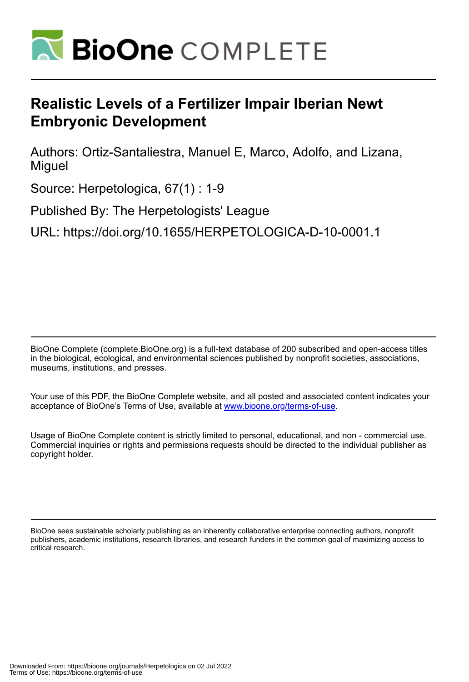

## **Realistic Levels of a Fertilizer Impair Iberian Newt Embryonic Development**

Authors: Ortiz-Santaliestra, Manuel E, Marco, Adolfo, and Lizana, Miguel

Source: Herpetologica, 67(1) : 1-9

Published By: The Herpetologists' League

URL: https://doi.org/10.1655/HERPETOLOGICA-D-10-0001.1

BioOne Complete (complete.BioOne.org) is a full-text database of 200 subscribed and open-access titles in the biological, ecological, and environmental sciences published by nonprofit societies, associations, museums, institutions, and presses.

Your use of this PDF, the BioOne Complete website, and all posted and associated content indicates your acceptance of BioOne's Terms of Use, available at www.bioone.org/terms-of-use.

Usage of BioOne Complete content is strictly limited to personal, educational, and non - commercial use. Commercial inquiries or rights and permissions requests should be directed to the individual publisher as copyright holder.

BioOne sees sustainable scholarly publishing as an inherently collaborative enterprise connecting authors, nonprofit publishers, academic institutions, research libraries, and research funders in the common goal of maximizing access to critical research.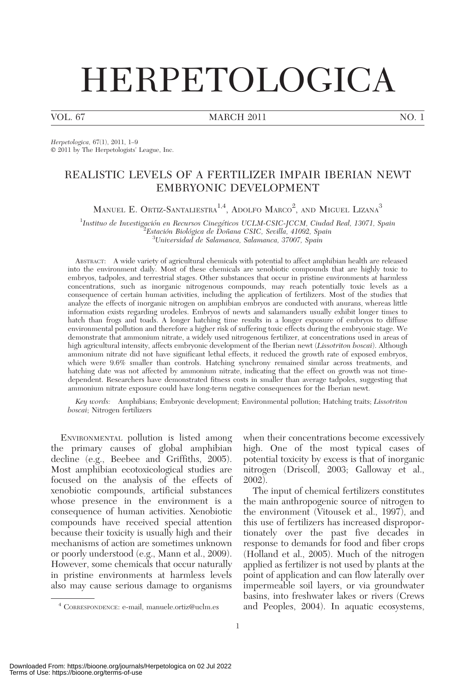# HERPETOLOGICA

VOL. 67 MARCH 2011 NO. 1

Herpetologica, 67(1), 2011, 1–9  $© 2011$  by The Herpetologists' League, Inc.

### REALISTIC LEVELS OF A FERTILIZER IMPAIR IBERIAN NEWT EMBRYONIC DEVELOPMENT

MANUEL E. ORTIZ-SANTALIESTRA $^{1,4},$  Adolfo Marco<sup>2</sup>, and Miguel Lizana $^3$ 

<sup>1</sup>Instituo de Investigación en Recursos Cinegéticos UCLM-CSIC-JCCM, Ciudad Real, 13071, Spain<br><sup>2</sup>Estación Biológica de Doñana CSIC, Sevilla, 41099, Spain Estación Biológica de Doñana CSIC, Sevilla, 41092, Spain<br><sup>3</sup>Universidad de Salamanca, Salamanca, <sup>37007</sup>, Spain  ${}^{3}$ Universidad de Salamanca, Salamanca, 37007, Spain

ABSTRACT: A wide variety of agricultural chemicals with potential to affect amphibian health are released into the environment daily. Most of these chemicals are xenobiotic compounds that are highly toxic to embryos, tadpoles, and terrestrial stages. Other substances that occur in pristine environments at harmless concentrations, such as inorganic nitrogenous compounds, may reach potentially toxic levels as a consequence of certain human activities, including the application of fertilizers. Most of the studies that analyze the effects of inorganic nitrogen on amphibian embryos are conducted with anurans, whereas little information exists regarding urodeles. Embryos of newts and salamanders usually exhibit longer times to hatch than frogs and toads. A longer hatching time results in a longer exposure of embryos to diffuse environmental pollution and therefore a higher risk of suffering toxic effects during the embryonic stage. We demonstrate that ammonium nitrate, a widely used nitrogenous fertilizer, at concentrations used in areas of high agricultural intensity, affects embryonic development of the Iberian newt (Lissotriton boscai). Although ammonium nitrate did not have significant lethal effects, it reduced the growth rate of exposed embryos, which were 9.6% smaller than controls. Hatching synchrony remained similar across treatments, and hatching date was not affected by ammonium nitrate, indicating that the effect on growth was not timedependent. Researchers have demonstrated fitness costs in smaller than average tadpoles, suggesting that ammonium nitrate exposure could have long-term negative consequences for the Iberian newt.

Key words: Amphibians; Embryonic development; Environmental pollution; Hatching traits; Lissotriton boscai; Nitrogen fertilizers

ENVIRONMENTAL pollution is listed among the primary causes of global amphibian decline (e.g., Beebee and Griffiths, 2005). Most amphibian ecotoxicological studies are focused on the analysis of the effects of xenobiotic compounds, artificial substances whose presence in the environment is a consequence of human activities. Xenobiotic compounds have received special attention because their toxicity is usually high and their mechanisms of action are sometimes unknown or poorly understood (e.g., Mann et al., 2009). However, some chemicals that occur naturally in pristine environments at harmless levels also may cause serious damage to organisms when their concentrations become excessively high. One of the most typical cases of potential toxicity by excess is that of inorganic nitrogen (Driscoll, 2003; Galloway et al., 2002).

The input of chemical fertilizers constitutes the main anthropogenic source of nitrogen to the environment (Vitousek et al., 1997), and this use of fertilizers has increased disproportionately over the past five decades in response to demands for food and fiber crops (Holland et al., 2005). Much of the nitrogen applied as fertilizer is not used by plants at the point of application and can flow laterally over impermeable soil layers, or via groundwater basins, into freshwater lakes or rivers (Crews <sup>4</sup> CORRESPONDENCE: e-mail, manuele.ortiz@uclm.es and Peoples, 2004). In aquatic ecosystems,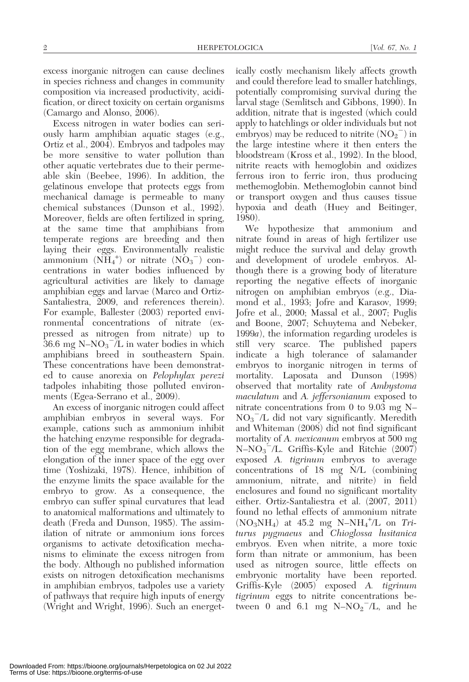excess inorganic nitrogen can cause declines in species richness and changes in community composition via increased productivity, acidification, or direct toxicity on certain organisms (Camargo and Alonso, 2006).

Excess nitrogen in water bodies can seriously harm amphibian aquatic stages (e.g., Ortiz et al., 2004). Embryos and tadpoles may be more sensitive to water pollution than other aquatic vertebrates due to their permeable skin (Beebee, 1996). In addition, the gelatinous envelope that protects eggs from mechanical damage is permeable to many chemical substances (Dunson et al., 1992). Moreover, fields are often fertilized in spring, at the same time that amphibians from temperate regions are breeding and then laying their eggs. Environmentally realistic ammonium  $(N\widetilde{H}_4^+)$  or nitrate  $(N\widetilde{O}_3^-)$  concentrations in water bodies influenced by agricultural activities are likely to damage amphibian eggs and larvae (Marco and Ortiz-Santaliestra, 2009, and references therein). For example, Ballester (2003) reported environmental concentrations of nitrate (expressed as nitrogen from nitrate) up to  $36.6 \text{ mg } \text{N-NO}_3^-$ /L in water bodies in which amphibians breed in southeastern Spain. These concentrations have been demonstrated to cause anorexia on Pelophylax perezi tadpoles inhabiting those polluted environments (Egea-Serrano et al., 2009).

An excess of inorganic nitrogen could affect amphibian embryos in several ways. For example, cations such as ammonium inhibit the hatching enzyme responsible for degradation of the egg membrane, which allows the elongation of the inner space of the egg over time (Yoshizaki, 1978). Hence, inhibition of the enzyme limits the space available for the embryo to grow. As a consequence, the embryo can suffer spinal curvatures that lead to anatomical malformations and ultimately to death (Freda and Dunson, 1985). The assimilation of nitrate or ammonium ions forces organisms to activate detoxification mechanisms to eliminate the excess nitrogen from the body. Although no published information exists on nitrogen detoxification mechanisms in amphibian embryos, tadpoles use a variety of pathways that require high inputs of energy (Wright and Wright, 1996). Such an energetically costly mechanism likely affects growth and could therefore lead to smaller hatchlings, potentially compromising survival during the larval stage (Semlitsch and Gibbons, 1990). In addition, nitrate that is ingested (which could apply to hatchlings or older individuals but not embryos) may be reduced to nitrite  $(NO<sub>2</sub><sup>-</sup>)$  in the large intestine where it then enters the bloodstream (Kross et al., 1992). In the blood, nitrite reacts with hemoglobin and oxidizes ferrous iron to ferric iron, thus producing methemoglobin. Methemoglobin cannot bind or transport oxygen and thus causes tissue hypoxia and death (Huey and Beitinger, 1980).

We hypothesize that ammonium and nitrate found in areas of high fertilizer use might reduce the survival and delay growth and development of urodele embryos. Although there is a growing body of literature reporting the negative effects of inorganic nitrogen on amphibian embryos (e.g., Diamond et al., 1993; Jofre and Karasov, 1999; Jofre et al., 2000; Massal et al., 2007; Puglis and Boone, 2007; Schuytema and Nebeker, 1999a), the information regarding urodeles is still very scarce. The published papers indicate a high tolerance of salamander embryos to inorganic nitrogen in terms of mortality. Laposata and Dunson (1998) observed that mortality rate of Ambystoma maculatum and A. jeffersonianum exposed to nitrate concentrations from 0 to 9.03 mg N–  $NO<sub>3</sub><sup>-</sup>/L$  did not vary significantly. Meredith and Whiteman (2008) did not find significant mortality of A. *mexicanum* embryos at 500 mg  $N-NO<sub>3</sub><sup>-</sup>/L$ . Griffis-Kyle and Ritchie (2007) exposed A. tigrinum embryos to average concentrations of 18 mg N/L (combining ammonium, nitrate, and nitrite) in field enclosures and found no significant mortality either. Ortiz-Santaliestra et al. (2007, 2011) found no lethal effects of ammonium nitrate  $(NO<sub>3</sub>NH<sub>4</sub>)$  at 45.2 mg N-NH<sub>4</sub><sup>+</sup>/L on Triturus pygmaeus and Chioglossa lusitanica embryos. Even when nitrite, a more toxic form than nitrate or ammonium, has been used as nitrogen source, little effects on embryonic mortality have been reported. Griffis-Kyle (2005) exposed A. tigrinum tigrinum eggs to nitrite concentrations between 0 and 6.1 mg  $N-NO<sub>2</sub><sup>-</sup>/L$ , and he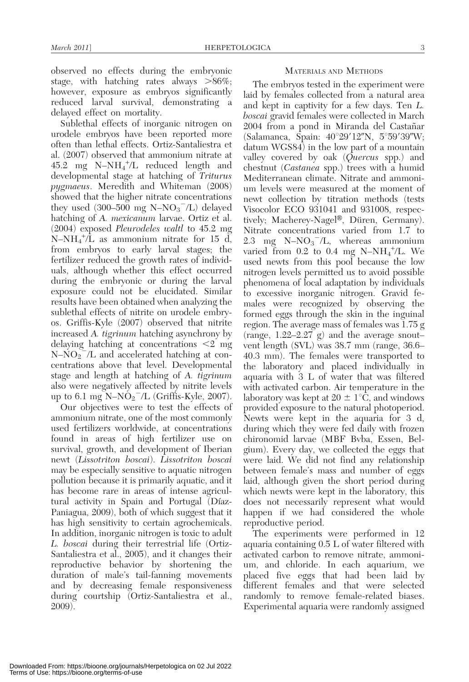observed no effects during the embryonic stage, with hatching rates always  $>86\%$ ; however, exposure as embryos significantly reduced larval survival, demonstrating a delayed effect on mortality.

Sublethal effects of inorganic nitrogen on urodele embryos have been reported more often than lethal effects. Ortiz-Santaliestra et al. (2007) observed that ammonium nitrate at 45.2 mg N–NH4 + /L reduced length and developmental stage at hatching of Triturus pygmaeus. Meredith and Whiteman (2008) showed that the higher nitrate concentrations they used  $(300-500 \text{ mg N-NO<sub>3</sub><sup>-</sup>/L)$  delayed hatching of A. mexicanum larvae. Ortiz et al. (2004) exposed Pleurodeles waltl to 45.2 mg  $N-NH_4^+/\overline{L}$  as ammonium nitrate for 15 d, from embryos to early larval stages; the fertilizer reduced the growth rates of individuals, although whether this effect occurred during the embryonic or during the larval exposure could not be elucidated. Similar results have been obtained when analyzing the sublethal effects of nitrite on urodele embryos. Griffis-Kyle (2007) observed that nitrite increased A. tigrinum hatching asynchrony by delaying hatching at concentrations  $\leq 2$  mg  $N-\text{NO}_2^{\degree}$ /L and accelerated hatching at concentrations above that level. Developmental stage and length at hatching of A. tigrinum also were negatively affected by nitrite levels up to 6.1 mg  $N-NO_2^-/L$  (Griffis-Kyle, 2007).

Our objectives were to test the effects of ammonium nitrate, one of the most commonly used fertilizers worldwide, at concentrations found in areas of high fertilizer use on survival, growth, and development of Iberian newt (Lissotriton boscai). Lissotriton boscai may be especially sensitive to aquatic nitrogen pollution because it is primarily aquatic, and it has become rare in areas of intense agricultural activity in Spain and Portugal (Díaz-Paniagua, 2009), both of which suggest that it has high sensitivity to certain agrochemicals. In addition, inorganic nitrogen is toxic to adult L. boscai during their terrestrial life (Ortiz-Santaliestra et al., 2005), and it changes their reproductive behavior by shortening the duration of male's tail-fanning movements and by decreasing female responsiveness during courtship (Ortiz-Santaliestra et al., 2009).

#### MATERIALS AND METHODS

The embryos tested in the experiment were laid by females collected from a natural area and kept in captivity for a few days. Ten L. boscai gravid females were collected in March 2004 from a pond in Miranda del Castañar (Salamanca, Spain:  $40^{\circ}29'12''N$ ,  $5^{\circ}59'39''W$ ; datum WGS84) in the low part of a mountain valley covered by oak (*Quercus* spp.) and chestnut (Castanea spp.) trees with a humid Mediterranean climate. Nitrate and ammonium levels were measured at the moment of newt collection by titration methods (tests Visocolor ECO 931041 and 931008, respectively; Macherey-Nagel®, Düren, Germany). Nitrate concentrations varied from 1.7 to 2.3 mg  $N-NO<sub>3</sub><sup>-</sup>/L$ , whereas ammonium varied from 0.2 to 0.4 mg  $N-NH_4^+/\text{L}$ . We used newts from this pool because the low nitrogen levels permitted us to avoid possible phenomena of local adaptation by individuals to excessive inorganic nitrogen. Gravid females were recognized by observing the formed eggs through the skin in the inguinal region. The average mass of females was 1.75 g (range,  $1.22-2.27$  g) and the average snoutvent length (SVL) was 38.7 mm (range, 36.6– 40.3 mm). The females were transported to the laboratory and placed individually in aquaria with 3 L of water that was filtered with activated carbon. Air temperature in the laboratory was kept at  $20 \pm 1$ °C, and windows provided exposure to the natural photoperiod. Newts were kept in the aquaria for 3 d, during which they were fed daily with frozen chironomid larvae (MBF Bvba, Essen, Belgium). Every day, we collected the eggs that were laid. We did not find any relationship between female's mass and number of eggs laid, although given the short period during which newts were kept in the laboratory, this does not necessarily represent what would happen if we had considered the whole reproductive period.

The experiments were performed in 12 aquaria containing 0.5 L of water filtered with activated carbon to remove nitrate, ammonium, and chloride. In each aquarium, we placed five eggs that had been laid by different females and that were selected randomly to remove female-related biases. Experimental aquaria were randomly assigned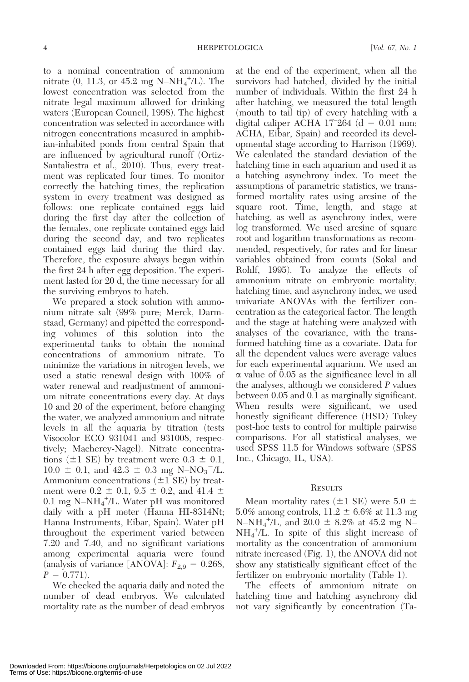to a nominal concentration of ammonium mitrate  $(0, 11.3, \text{ or } 45.2 \text{ mg } N-NH_4^+/\text{L})$ . The lowest concentration was selected from the nitrate legal maximum allowed for drinking waters (European Council, 1998). The highest concentration was selected in accordance with nitrogen concentrations measured in amphibian-inhabited ponds from central Spain that are influenced by agricultural runoff (Ortiz-Santaliestra et al., 2010). Thus, every treatment was replicated four times. To monitor correctly the hatching times, the replication system in every treatment was designed as follows: one replicate contained eggs laid during the first day after the collection of the females, one replicate contained eggs laid during the second day, and two replicates contained eggs laid during the third day. Therefore, the exposure always began within the first 24 h after egg deposition. The experiment lasted for 20 d, the time necessary for all the surviving embryos to hatch.

We prepared a stock solution with ammonium nitrate salt (99% pure; Merck, Darmstaad, Germany) and pipetted the corresponding volumes of this solution into the experimental tanks to obtain the nominal concentrations of ammonium nitrate. To minimize the variations in nitrogen levels, we used a static renewal design with 100% of water renewal and readjustment of ammonium nitrate concentrations every day. At days 10 and 20 of the experiment, before changing the water, we analyzed ammonium and nitrate levels in all the aquaria by titration (tests Visocolor ECO 931041 and 931008, respectively; Macherey-Nagel). Nitrate concentrations ( $\pm 1$  SE) by treatment were  $0.3 \pm 0.1$ ,  $10.0 \pm 0.1$ , and  $42.3 \pm 0.3$  mg N-NO<sub>3</sub><sup>-</sup>/L. Ammonium concentrations  $(\pm 1 \text{ SE})$  by treatment were  $0.2 \pm 0.1$ ,  $0.5 \pm 0.2$ , and  $41.4 \pm 1.6$ 0.1 mg N-NH<sub>4</sub><sup>+</sup>/L. Water pH was monitored daily with a pH meter (Hanna HI-8314Nt; Hanna Instruments, Eibar, Spain). Water pH throughout the experiment varied between 7.20 and 7.40, and no significant variations among experimental aquaria were found (analysis of variance [ANOVA]:  $F_{2,9} = 0.268$ ,  $P = 0.771$ .

We checked the aquaria daily and noted the number of dead embryos. We calculated mortality rate as the number of dead embryos at the end of the experiment, when all the survivors had hatched, divided by the initial number of individuals. Within the first 24 h after hatching, we measured the total length (mouth to tail tip) of every hatchling with a digital caliper ACHA 17<sup>-264</sup> (d =  $0.01$  mm; ACHA, Eibar, Spain) and recorded its developmental stage according to Harrison (1969). We calculated the standard deviation of the hatching time in each aquarium and used it as a hatching asynchrony index. To meet the assumptions of parametric statistics, we transformed mortality rates using arcsine of the square root. Time, length, and stage at hatching, as well as asynchrony index, were log transformed. We used arcsine of square root and logarithm transformations as recommended, respectively, for rates and for linear variables obtained from counts (Sokal and Rohlf, 1995). To analyze the effects of ammonium nitrate on embryonic mortality, hatching time, and asynchrony index, we used univariate ANOVAs with the fertilizer concentration as the categorical factor. The length and the stage at hatching were analyzed with analyses of the covariance, with the transformed hatching time as a covariate. Data for all the dependent values were average values for each experimental aquarium. We used an  $\alpha$  value of 0.05 as the significance level in all the analyses, although we considered P values between 0.05 and 0.1 as marginally significant. When results were significant, we used honestly significant difference (HSD) Tukey post-hoc tests to control for multiple pairwise comparisons. For all statistical analyses, we used SPSS 11.5 for Windows software (SPSS Inc., Chicago, IL, USA).

#### **RESULTS**

Mean mortality rates ( $\pm 1$  SE) were 5.0  $\pm$ 5.0% among controls,  $11.2 \pm 6.6$ % at 11.3 mg N-NH<sub>4</sub><sup>+</sup>/L, and 20.0  $\pm$  8.2% at 45.2 mg N-NH4 + /L. In spite of this slight increase of mortality as the concentration of ammonium nitrate increased (Fig. 1), the ANOVA did not show any statistically significant effect of the fertilizer on embryonic mortality (Table 1).

The effects of ammonium nitrate on hatching time and hatching asynchrony did not vary significantly by concentration (Ta-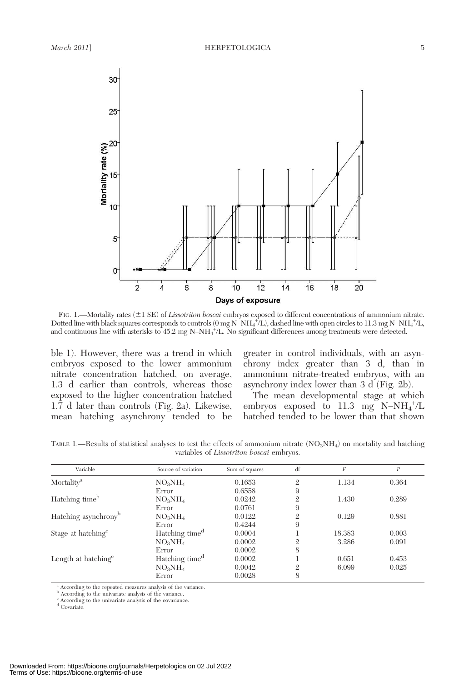



FIG. 1.—Mortality rates (±1 SE) of Lissotriton boscai embryos exposed to different concentrations of ammonium nitrate. Dotted line with black squares corresponds to controls (0 mg N-NH<sub>4</sub><sup>+</sup>/L), dashed line with open circles to 11.3 mg N-NH<sub>4</sub><sup>+/</sup>L, and continuous line with asterisks to 45.2 mg N–NH<sub>4</sub><sup>+</sup>/L. No significant differences among treatments were detected.

ble 1). However, there was a trend in which embryos exposed to the lower ammonium nitrate concentration hatched, on average, 1.3 d earlier than controls, whereas those exposed to the higher concentration hatched 1.7 d later than controls (Fig. 2a). Likewise, mean hatching asynchrony tended to be

greater in control individuals, with an asynchrony index greater than 3 d, than in ammonium nitrate-treated embryos, with an asynchrony index lower than 3 d (Fig. 2b).

The mean developmental stage at which embryos exposed to 11.3 mg  $N-NH_4^+/\text{L}$ hatched tended to be lower than that shown

TABLE 1.—Results of statistical analyses to test the effects of ammonium nitrate  $(NO<sub>3</sub>NH<sub>4</sub>)$  on mortality and hatching variables of Lissotriton boscai embryos.

| Variable                         | Source of variation             | Sum of squares | df             | F      | $\boldsymbol{P}$ |
|----------------------------------|---------------------------------|----------------|----------------|--------|------------------|
| Mortality <sup>a</sup>           | $NO_3NH_4$                      | 0.1653         | $\mathfrak{2}$ | 1.134  | 0.364            |
|                                  | Error                           | 0.6558         | 9              |        |                  |
| Hatching time <sup>b</sup>       | NO <sub>3</sub> NH <sub>4</sub> | 0.0242         | $\mathfrak{2}$ | 1.430  | 0.289            |
|                                  | Error                           | 0.0761         | 9              |        |                  |
| Hatching asynchrony <sup>b</sup> | $NO_3NH_4$                      | 0.0122         | $\mathfrak{2}$ | 0.129  | 0.881            |
|                                  | Error                           | 0.4244         | 9              |        |                  |
| Stage at hatching <sup>c</sup>   | Hatching time <sup>d</sup>      | 0.0004         |                | 18.383 | 0.003            |
|                                  | $NO_3NH_4$                      | 0.0002         | 2              | 3.286  | 0.091            |
|                                  | Error                           | 0.0002         | 8              |        |                  |
| Length at hatching <sup>c</sup>  | Hatching time <sup>d</sup>      | 0.0002         |                | 0.651  | 0.453            |
|                                  | $NO_3NH_4$                      | 0.0042         | $\overline{2}$ | 6.099  | 0.025            |
|                                  | Error                           | 0.0028         | 8              |        |                  |

<sup>a</sup> According to the repeated measures analysis of the variance.

b According to the univariate analysis of the variance.<br>c According to the univariate analysis of the covariance.

<sup>d</sup> Covariate.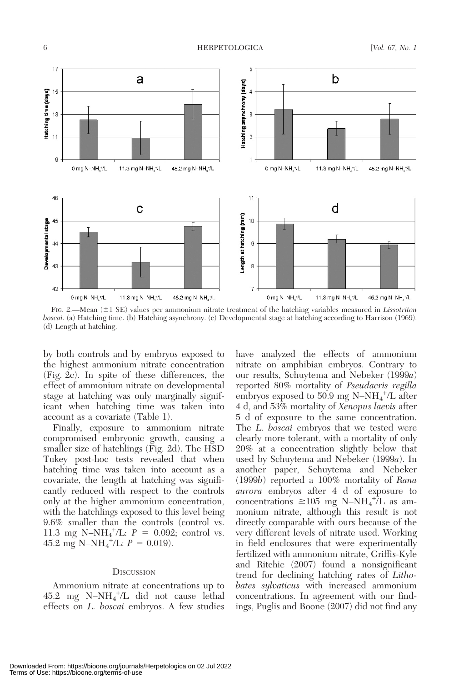

FIG. 2.—Mean  $(\pm 1 \text{ SE})$  values per ammonium nitrate treatment of the hatching variables measured in Lissotriton boscai. (a) Hatching time. (b) Hatching asynchrony. (c) Developmental stage at hatching according to Harrison (1969). (d) Length at hatching.

by both controls and by embryos exposed to the highest ammonium nitrate concentration (Fig. 2c). In spite of these differences, the effect of ammonium nitrate on developmental stage at hatching was only marginally significant when hatching time was taken into account as a covariate (Table 1).

Finally, exposure to ammonium nitrate compromised embryonic growth, causing a smaller size of hatchlings (Fig. 2d). The HSD Tukey post-hoc tests revealed that when hatching time was taken into account as a covariate, the length at hatching was significantly reduced with respect to the controls only at the higher ammonium concentration, with the hatchlings exposed to this level being 9.6% smaller than the controls (control vs. 11.3 mg N-NH<sub>4</sub><sup>+</sup>/L:  $P = 0.092$ ; control vs.  $45.2 \text{ mg} \text{ N-NH}_4^{\text{+}}/\text{L}$ :  $P = 0.019$ ).

#### **DISCUSSION**

Ammonium nitrate at concentrations up to  $45.2 \text{ mg } \text{N-NH}_4^+/\text{L}$  did not cause lethal effects on L. boscai embryos. A few studies have analyzed the effects of ammonium nitrate on amphibian embryos. Contrary to our results, Schuytema and Nebeker (1999a) reported 80% mortality of Pseudacris regilla embryos exposed to  $50.9 \text{ mg N-NH}_4^+/\text{L}$  after 4 d, and 53% mortality of Xenopus laevis after 5 d of exposure to the same concentration. The L. boscai embryos that we tested were clearly more tolerant, with a mortality of only 20% at a concentration slightly below that used by Schuytema and Nebeker (1999a). In another paper, Schuytema and Nebeker (1999b) reported a 100% mortality of Rana aurora embryos after 4 d of exposure to concentrations  $\geq 105$  mg N-NH<sub>4</sub><sup>+</sup>/L as ammonium nitrate, although this result is not directly comparable with ours because of the very different levels of nitrate used. Working in field enclosures that were experimentally fertilized with ammonium nitrate, Griffis-Kyle and Ritchie (2007) found a nonsignificant trend for declining hatching rates of Lithobates sylvaticus with increased ammonium concentrations. In agreement with our findings, Puglis and Boone (2007) did not find any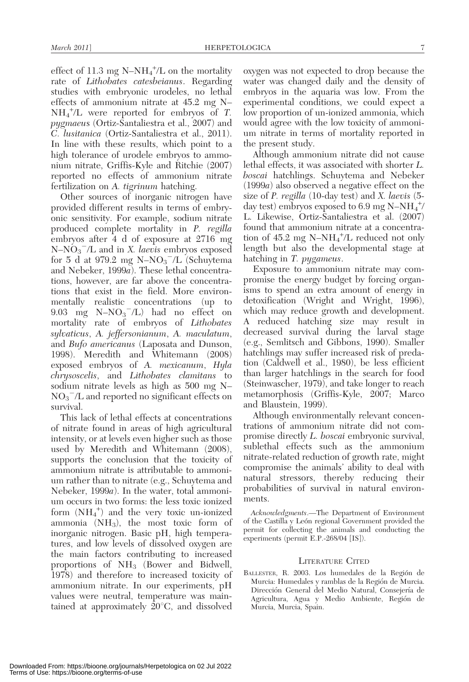effect of 11.3 mg  $N-NH_4^+$ /L on the mortality rate of Lithobates catesbeianus. Regarding studies with embryonic urodeles, no lethal effects of ammonium nitrate at 45.2 mg N–  $NH_4^+/\text{L}$  were reported for embryos of T. pygmaeus (Ortiz-Santaliestra et al., 2007) and C. lusitanica (Ortiz-Santaliestra et al., 2011). In line with these results, which point to a high tolerance of urodele embryos to ammonium nitrate, Griffis-Kyle and Ritchie (2007) reported no effects of ammonium nitrate fertilization on A. *tigrinum* hatching.

Other sources of inorganic nitrogen have provided different results in terms of embryonic sensitivity. For example, sodium nitrate produced complete mortality in P. regilla embryos after 4 d of exposure at 2716 mg  $N-NO_3^-/L$  and in X. laevis embryos exposed for 5 d at 979.2 mg  $N-NO_3^-/L$  (Schuytema and Nebeker, 1999a). These lethal concentrations, however, are far above the concentrations that exist in the field. More environmentally realistic concentrations (up to 9.03 mg  $N-NO<sub>3</sub><sup>-</sup>/L$ ) had no effect on mortality rate of embryos of Lithobates sylvaticus, A. jeffersonianum, A. maculatum, and Bufo americanus (Laposata and Dunson, 1998). Meredith and Whitemann (2008) exposed embryos of A. mexicanum, Hyla chrysoscelis, and Lithobates clamitans to sodium nitrate levels as high as 500 mg N–  $NO<sub>3</sub><sup>-</sup>/L$  and reported no significant effects on survival.

This lack of lethal effects at concentrations of nitrate found in areas of high agricultural intensity, or at levels even higher such as those used by Meredith and Whitemann (2008), supports the conclusion that the toxicity of ammonium nitrate is attributable to ammonium rather than to nitrate (e.g., Schuytema and Nebeker, 1999a). In the water, total ammonium occurs in two forms: the less toxic ionized form  $(NH_4^+)$  and the very toxic un-ionized ammonia  $(NH_3)$ , the most toxic form of inorganic nitrogen. Basic pH, high temperatures, and low levels of dissolved oxygen are the main factors contributing to increased proportions of NH3 (Bower and Bidwell, 1978) and therefore to increased toxicity of ammonium nitrate. In our experiments, pH values were neutral, temperature was maintained at approximately  $20^{\circ}$ C, and dissolved oxygen was not expected to drop because the water was changed daily and the density of embryos in the aquaria was low. From the experimental conditions, we could expect a low proportion of un-ionized ammonia, which would agree with the low toxicity of ammonium nitrate in terms of mortality reported in the present study.

Although ammonium nitrate did not cause lethal effects, it was associated with shorter L. boscai hatchlings. Schuytema and Nebeker (1999a) also observed a negative effect on the size of P. regilla (10-day test) and X. laevis (5day test) embryos exposed to 6.9 mg N-N $\text{H}_4^+$ / L. Likewise, Ortiz-Santaliestra et al. (2007) found that ammonium nitrate at a concentration of  $45.2 \text{ mg } N-\text{NH}_4^+/\text{L}$  reduced not only length but also the developmental stage at hatching in T. pygameus.

Exposure to ammonium nitrate may compromise the energy budget by forcing organisms to spend an extra amount of energy in detoxification (Wright and Wright, 1996), which may reduce growth and development. A reduced hatching size may result in decreased survival during the larval stage (e.g., Semlitsch and Gibbons, 1990). Smaller hatchlings may suffer increased risk of predation (Caldwell et al., 1980), be less efficient than larger hatchlings in the search for food (Steinwascher, 1979), and take longer to reach metamorphosis (Griffis-Kyle, 2007; Marco and Blaustein, 1999).

Although environmentally relevant concentrations of ammonium nitrate did not compromise directly L. boscai embryonic survival, sublethal effects such as the ammonium nitrate-related reduction of growth rate, might compromise the animals' ability to deal with natural stressors, thereby reducing their probabilities of survival in natural environments.

Acknowledgments.—The Department of Environment of the Castilla y León regional Government provided the permit for collecting the animals and conducting the experiments (permit E.P.-268/04 [IS]).

#### LITERATURE CITED

BALLESTER, R. 2003. Los humedales de la Región de Murcia: Humedales y ramblas de la Región de Murcia. Dirección General del Medio Natural, Consejería de Agricultura, Agua y Medio Ambiente, Región de Murcia, Murcia, Spain.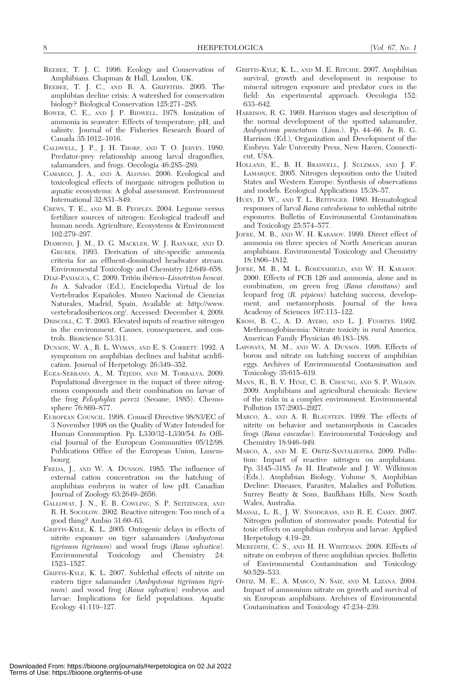- BEEBEE, T. J. C. 1996. Ecology and Conservation of Amphibians. Chapman & Hall, London, UK.
- BEEBEE, T. J. C., AND R. A. GRIFFITHS. 2005. The amphibian decline crisis: A watershed for conservation biology? Biological Conservation 125:271–285.
- BOWER, C. E., AND J. P. BIDWELL. 1978. Ionization of ammonia in seawater: Effects of temperature, pH, and salinity. Journal of the Fisheries Research Board of Canada 35:1012–1016.
- CALDWELL, J. P., J. H. THORP, AND T. O. JERVEY. 1980. Predator-prey relationship among larval dragonflies, salamanders, and frogs. Oecologia 46:285–289.
- CAMARGO, J. A., AND A. ALONSO. 2006. Ecological and toxicological effects of inorganic nitrogen pollution in aquatic ecosystems: A global assessment. Environment International 32:831–849.
- CREWS, T. E., AND M. B. PEOPLES. 2004. Legume versus fertilizer sources of nitrogen: Ecological tradeoff and human needs. Agriculture, Ecosystems & Environment 102:279–297.
- DIAMOND, J. M., D. G. MACKLER, W. J. RASNAKE, AND D. GRUBER. 1993. Derivation of site-specific ammonia criteria for an effluent-dominated headwater stream. Environmental Toxicology and Chemistry 12:649–658.
- Díaz-Paniagua, C. 2009. Tritón ibérico–Lissotriton boscai. In A. Salvador (Ed.), Enciclopedia Virtual de los Vertebrados Españoles. Museo Nacional de Ciencias Naturales, Madrid, Spain, Available at: http://www. vertebradosibericos.org/. Accessed: December 4, 2009.
- DRISCOLL, C. T. 2003. Elevated inputs of reactive nitrogen in the environment. Causes, consequences, and controls. Bioscience 53:311.
- DUNSON, W. A., R. L. WYMAN, AND E. S. CORBETT. 1992. A symposium on amphibian declines and habitat acidification. Journal of Herpetology 26:349–352.
- EGEA-SERRANO, A., M. TEJEDO, AND M. TORRALVA. 2009. Populational divergence in the impact of three nitrogenous compounds and their combination on larvae of the frog Pelophylax perezi (Seoane, 1885). Chemosphere 76:869–877.
- EUROPEAN COUNCIL. 1998. Council Directive 98/83/EC of 3 November 1998 on the Quality of Water Intended for Human Consumption. Pp. L330/32–L330/54. In Official Journal of the European Communities 05/12/98. Publications Office of the European Union, Luxembourg.
- FREDA, J., AND W. A. DUNSON. 1985. The influence of external cation concentration on the hatching of amphibian embryos in water of low pH. Canadian Journal of Zoology 63:2649–2656.
- GALLOWAY, J. N., E. B. COWLING, S. P. SEITZINGER, AND R. H. SOCOLOW. 2002. Reactive nitrogen: Too much of a good thing? Ambio 31:60–63.
- GRIFFIS-KYLE, K. L. 2005. Ontogenic delays in effects of nitrite exposure on tiger salamanders (Ambystoma tigrinum tigrinum) and wood frogs (Rana sylvatica). Environmental Toxicology and Chemistry 24: 1523–1527.
- GRIFFIS-KYLE, K. L. 2007. Sublethal effects of nitrite on eastern tiger salamander (Ambystoma tigrinum tigrinum) and wood frog (Rana sylvatica) embryos and larvae: Implications for field populations. Aquatic Ecology 41:119–127.
- GRIFFIS-KYLE, K. L., AND M. E. RITCHIE. 2007. Amphibian survival, growth and development in response to mineral nitrogen exposure and predator cues in the field: An experimental approach. Oecologia 152: 633–642.
- HARRISON, R. G. 1969. Harrison stages and description of the normal development of the spotted salamander, Ambystoma punctatum (Linn.). Pp. 44–66. In R. G. Harrison (Ed.), Organization and Development of the Embryo. Yale University Press, New Haven, Connecticut, USA.
- HOLLAND, E., B. H. BRASWELL, J. SULZMAN, AND J. F. LAMARQUE. 2005. Nitrogen deposition onto the United States and Western Europe: Synthesis of observations and models. Ecological Applications 15:38–57.
- HUEY, D. W., AND T. L. BEITINGER. 1980. Hematological responses of larval Rana catesbeiana to sublethal nitrite exposures. Bulletin of Environmental Contamination and Toxicology 25:574–577.
- JOFRE, M. B., AND W. H. KARASOV. 1999. Direct effect of ammonia on three species of North American anuran amphibians. Environmental Toxicology and Chemistry 18:1806–1812.
- JOFRE, M. B., M. L. ROSENSHIELD, AND W. H. KARASOV. 2000. Effects of PCB 126 and ammonia, alone and in combination, on green frog (Rana clamitans) and leopard frog (R. pipiens) hatching success, development, and metamorphosis. Journal of the Iowa Academy of Sciences 107:113–122.
- KROSS, B. C., A. D. AYEBO, AND L. J. FUORTES. 1992. Methemoglobinemia: Nitrate toxicity in rural America. American Family Physician 46:183–188.
- LAPOSATA, M. M., AND W. A. DUNSON. 1998. Effects of boron and nitrate on hatching success of amphibian eggs. Archives of Environmental Contamination and Toxicology 35:615–619.
- MANN, R., R. V. HYNE, C. B. CHOUNG, AND S. P. WILSON. 2009. Amphibians and agricultural chemicals: Review of the risks in a complex environment. Environmental Pollution 157:2903–2927.
- MARCO, A., AND A. R. BLAUSTEIN. 1999. The effects of nitrite on behavior and metamorphosis in Cascades frogs (Rana cascadae). Environmental Toxicology and Chemistry 18:946–949.
- MARCO, A., AND M. E. ORTIZ-SANTALIESTRA. 2009. Pollution: Impact of reactive nitrogen on amphibians. Pp. 3145–3185. In H. Heatwole and J. W. Wilkinson (Eds.), Amphibian Biology, Volume 8, Amphibian Decline: Diseases, Parasites, Maladies and Pollution. Surrey Beatty & Sons, Baulkham Hills, New South Wales, Australia.
- MASSAL, L. R., J. W. SNODGRASS, AND R. E. CASEY. 2007. Nitrogen pollution of stormwater ponds: Potential for toxic effects on amphibian embryos and larvae. Applied Herpetology 4:19–29.
- MEREDITH, C. S., AND H. H. WHITEMAN. 2008. Effects of nitrate on embryos of three amphibian species. Bulletin of Environmental Contamination and Toxicology 80:529–533.
- ORTIZ, M. E., A. MARCO, N. SAIZ, AND M. LIZANA. 2004. Impact of ammonium nitrate on growth and survival of six European amphibians. Archives of Environmental Contamination and Toxicology 47:234–239.